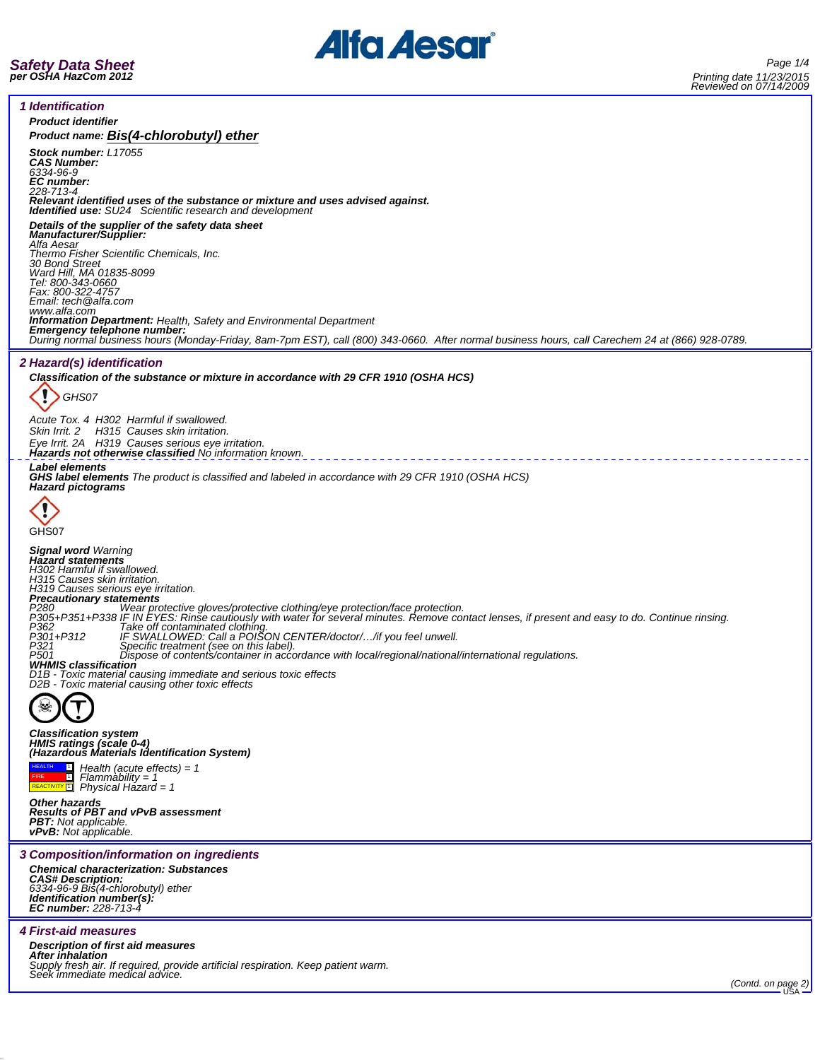

*Safety Data Sheet per OSHA HazCom 2012*

*1 Identification Product identifier Product name: Bis(4-chlorobutyl) ether Stock number: L17055 CAS Number: 6334-96-9 EC number: 228-713-4 Relevant identified uses of the substance or mixture and uses advised against. Identified use: SU24 Scientific research and development Details of the supplier of the safety data sheet Manufacturer/Supplier: Alfa Aesar Thermo Fisher Scientific Chemicals, Inc. 30 Bond Street Ward Hill, MA 01835-8099 Tel: 800-343-0660 Fax: 800-322-4757 Email: tech@alfa.com* www.alfa.com<br>**Information Department:** Health, Safety and Environmental Department **Information Department:** Health, Safety and Environmental Department<br>**Emergency telephone number:**<br>During normal business hours (Monday-Friday, 8am-7pm EST), call (800) 343-0660. After normal business hours, call Carechem *2 Hazard(s) identification Classification of the substance or mixture in accordance with 29 CFR 1910 (OSHA HCS)* I *GHS07 Acute Tox. 4 H302 Harmful if swallowed. Skin Irrit. 2 H315 Causes skin irritation. Eye Irrit. 2A H319 Causes serious eye irritation. Hazards not otherwise classified No information known. Label elements GHS label elements The product is classified and labeled in accordance with 29 CFR 1910 (OSHA HCS) Hazard pictograms* GHS<sub>07</sub> *Signal word Warning Hazard statements H302 Harmful if swallowed. H315 Causes skin irritation. H319 Causes serious eye irritation. Precautionary statements* P280 <sup>-</sup> Wear protective gloves/protective clothing/eye protection/face protection.<br>P305+P351+P338 IF IN EYES: Rinse cautiously with water for several minutes. Remove contact lenses, if present and easy to do. Continue rin *P321 Specific treatment (see on this label). P501 Dispose of contents/container in accordance with local/regional/national/international regulations. WHMIS classification D1B - Toxic material causing immediate and serious toxic effects D2B - Toxic material causing other toxic effects Classification system HMIS ratings (scale 0-4) (Hazardous Materials Identification System)*  $\overline{\mathbf{r}}$ *Health (acute effects) = 1* HEALTH FIRE REACTIVITY 1 1 *Flammability = 1 Physical Hazard = 1 Other hazards Results of PBT and vPvB assessment PBT: Not applicable. vPvB: Not applicable. 3 Composition/information on ingredients Chemical characterization: Substances CAS# Description: 6334-96-9 Bis(4-chlorobutyl) ether Identification number(s): EC number: 228-713-4 4 First-aid measures Description of first aid measures* **After inhalation**<br>Supply fresh air. If required, provide artificial respiration. Keep patient warm.<br>Seek immediate medical advice. *(Contd. on page 2)* USA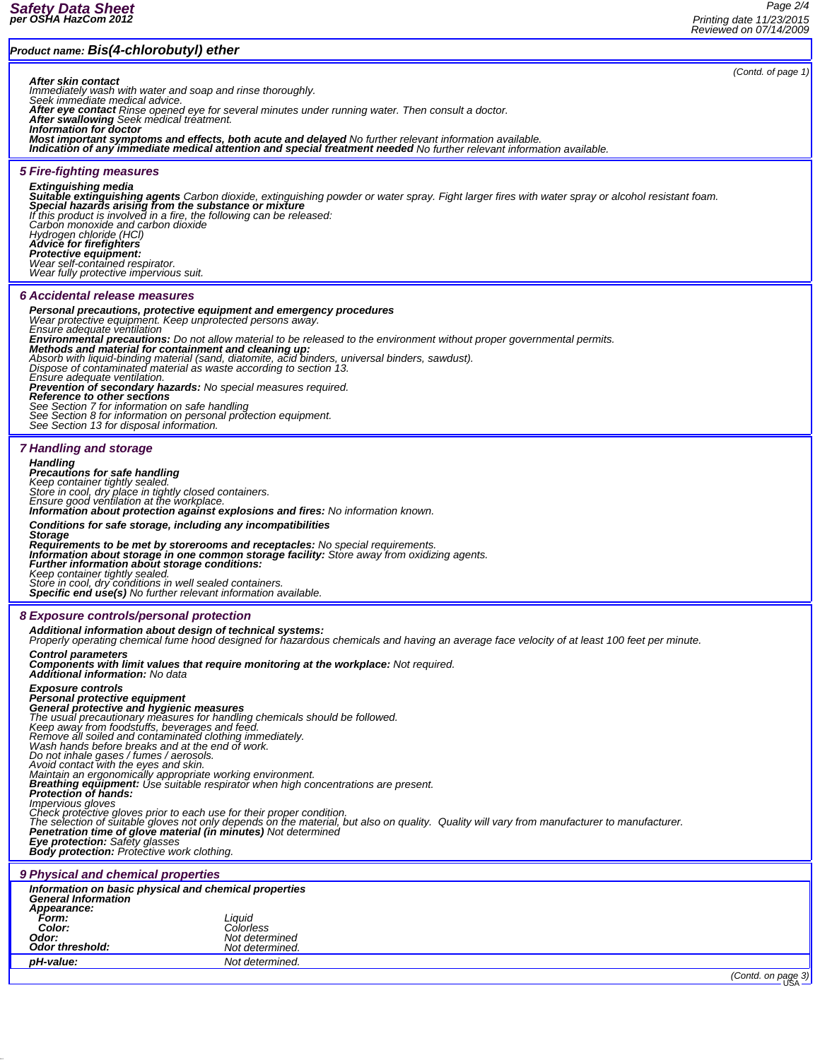## *Product name: Bis(4-chlorobutyl) ether*

*(Contd. of page 1)*

**After skin contact**<br>Immediately wash with water and soap and rinse thoroughly.<br>Seek immediate medical advice.<br>After eye contact Rinse opened eye for several minutes under running water. Then consult a doctor.<br>After swallo

Information for doctor<br>Most important symptoms and effects, both acute and delayed No further relevant information available.<br>Indication of any immediate medical attention and special treatment needed No further relevant i

### *5 Fire-fighting measures*

**Extinguishing media**<br>**Suitable extinguishing agents** Carbon dioxide, extinguishing powder or water spray. Fight larger fires with water spray or alcohol resistant foam.<br>**Special hazards arising from the substance or mixtu** *If this product is involved in a fire, the following can be released: Carbon monoxide and carbon dioxide Hydrogen chloride (HCl) Advice for firefighters*

*Protective equipment: Wear self-contained respirator.*

*Wear fully protective impervious suit.*

#### *6 Accidental release measures*

#### *Personal precautions, protective equipment and emergency procedures*

*Wear protective equipment. Keep unprotected persons away. Ensure adequate ventilation*

*Environmental precautions: Do not allow material to be released to the environment without proper governmental permits. Methods and material for containment and cleaning up:*

Absorb with liquid-binding material (sand, diatomite, acid binders, universal binders, sawdust).<br>Dispose of contaminated material as waste according to section 13.<br>Ensure adequate ventilation.

**Prevention of secondary hazards:** No special measures required.<br>**Reference to other sections**<br>See Section 7 for information on safe handling<br>See Section 8 for information on personal protection equipment.<br>See Section 13 f

#### *7 Handling and storage*

*Handling Precautions for safe handling Keep container tightly sealed. Store in cool, dry place in tightly closed containers. Ensure good ventilation at the workplace. Information about protection against explosions and fires: No information known. Conditions for safe storage, including any incompatibilities* Storage<br>Requirements to be met by storerooms and receptacles: No special requirements.<br>Information about storage in one common storage facility: Store away from oxidizing agents.<br>Further information about storage condition *Keep container tightly sealed. Store in cool, dry conditions in well sealed containers. Specific end use(s) No further relevant information available. 8 Exposure controls/personal protection Additional information about design of technical systems: Properly operating chemical fume hood designed for hazardous chemicals and having an average face velocity of at least 100 feet per minute. Control parameters Components with limit values that require monitoring at the workplace: Not required. Additional information: No data* Exposure controls<br>Personal protective equipment<br>General protective and hygienic measures<br>The usual precautionary measures for handling chemicals should be followed.<br>The usual precautionary measures for handling chemicals s Avoid contact with the eyes and skin.<br>Maintain an ergonomically appropriate working environment.<br>**Breathing equipment:** Use suitable respirator when high concentrations are present.<br>**Protection of hands:** 

*Impervious gloves*

mpor voca gives prior to each use for their proper condition.<br>The selection of suitable gloves not only depends on the material, but also on quality. Quality will vary from manufacturer to manufacturer.<br>The selection of su

*Penetration time of glove material (in minutes) Not determined Eye protection: Safety glasses Body protection: Protective work clothing.*

*9 Physical and chemical properties*

| Information on basic physical and chemical properties<br><b>General Information</b> |                                                          |  |  |
|-------------------------------------------------------------------------------------|----------------------------------------------------------|--|--|
| Appearance:<br>Form:<br>Color:<br>Odor:<br><b>Odor threshold:</b>                   | Liquid<br>Colorless<br>Not determined<br>Not determined. |  |  |
| pH-value:                                                                           | Not determined.                                          |  |  |
|                                                                                     |                                                          |  |  |

*(Contd. on page 3)* USA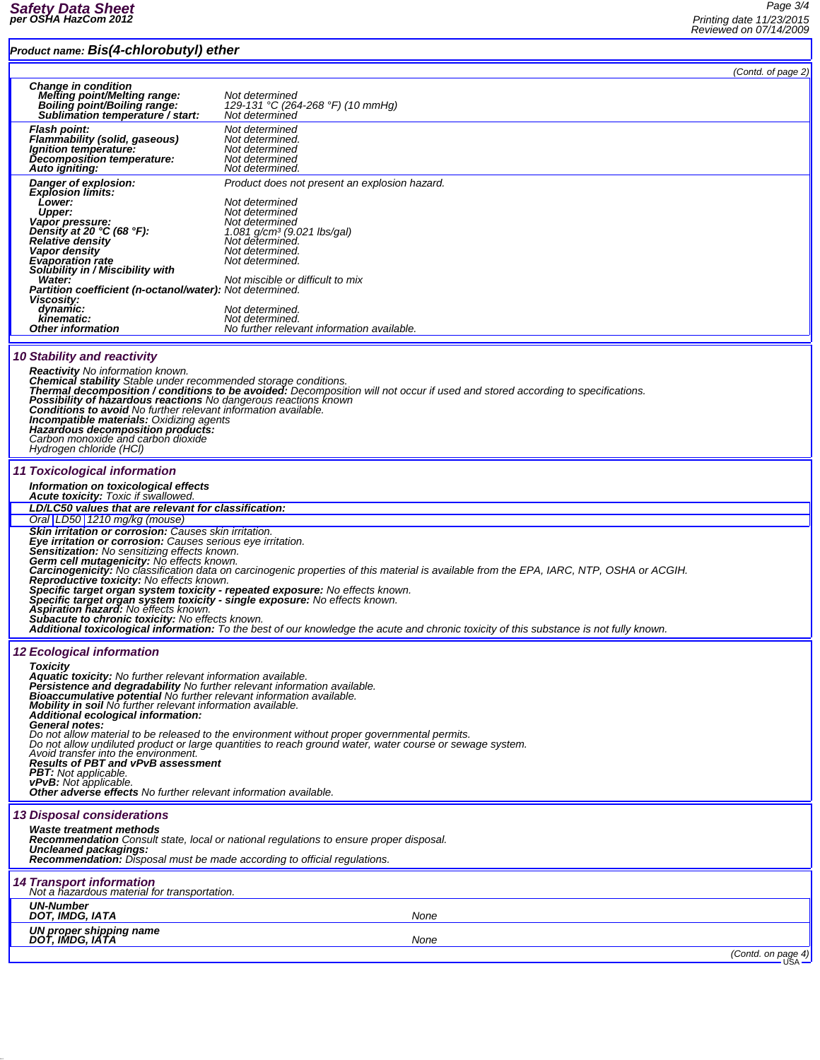# *Product name: Bis(4-chlorobutyl) ether*

*Page 3/4 Printing date 11/23/2015 Reviewed on 07/14/2009*

|                                                                                                                                 | Product name: DIS(4-CHIOTODUTYI) ether                                                                                                                                                                          |                                                                                                                                                                                                          |                    |
|---------------------------------------------------------------------------------------------------------------------------------|-----------------------------------------------------------------------------------------------------------------------------------------------------------------------------------------------------------------|----------------------------------------------------------------------------------------------------------------------------------------------------------------------------------------------------------|--------------------|
|                                                                                                                                 |                                                                                                                                                                                                                 |                                                                                                                                                                                                          | (Contd. of page 2) |
|                                                                                                                                 | <b>Change in condition</b><br><b>Melting point/Melting range:</b><br>Boiling point/Boiling range:                                                                                                               | Not determined<br>129-131 °C (264-268 °F) (10 mmHg)                                                                                                                                                      |                    |
|                                                                                                                                 | Sublimation temperature / start:                                                                                                                                                                                | Not determined                                                                                                                                                                                           |                    |
|                                                                                                                                 | <b>Flash point:</b>                                                                                                                                                                                             | Not determined                                                                                                                                                                                           |                    |
|                                                                                                                                 | Flammability (solid, gaseous)<br>Ignition temperature:                                                                                                                                                          | Not determined.<br>Not determined                                                                                                                                                                        |                    |
|                                                                                                                                 | Decomposition temperature:                                                                                                                                                                                      | Not determined                                                                                                                                                                                           |                    |
|                                                                                                                                 | Auto igniting:                                                                                                                                                                                                  | Not determined.                                                                                                                                                                                          |                    |
|                                                                                                                                 | Danger of explosion:<br><b>Explosion limits:</b>                                                                                                                                                                | Product does not present an explosion hazard.                                                                                                                                                            |                    |
|                                                                                                                                 | Lower:                                                                                                                                                                                                          | Not determined                                                                                                                                                                                           |                    |
|                                                                                                                                 | <b>Upper:</b>                                                                                                                                                                                                   | Not determined                                                                                                                                                                                           |                    |
|                                                                                                                                 | Vapor pressure:<br>Density at 20 $°C$ (68 $°F$ ):                                                                                                                                                               | Not determined<br>1.081 g/cm <sup>3</sup> (9.021 lbs/gal)                                                                                                                                                |                    |
|                                                                                                                                 | <b>Relative density</b>                                                                                                                                                                                         | Not determined.                                                                                                                                                                                          |                    |
|                                                                                                                                 | Vapor density<br><b>Evaporation rate</b>                                                                                                                                                                        | Not determined.<br>Not determined.                                                                                                                                                                       |                    |
|                                                                                                                                 | Solubility in / Miscibility with                                                                                                                                                                                |                                                                                                                                                                                                          |                    |
|                                                                                                                                 | Water:<br><b>Partition coefficient (n-octanol/water):</b> Not determined.                                                                                                                                       | Not miscible or difficult to mix                                                                                                                                                                         |                    |
|                                                                                                                                 | Viscosity:                                                                                                                                                                                                      |                                                                                                                                                                                                          |                    |
|                                                                                                                                 | dynamic:<br>kinematic:                                                                                                                                                                                          | Not determined.<br>Not determined.                                                                                                                                                                       |                    |
|                                                                                                                                 | <b>Other information</b>                                                                                                                                                                                        | No further relevant information available.                                                                                                                                                               |                    |
|                                                                                                                                 |                                                                                                                                                                                                                 |                                                                                                                                                                                                          |                    |
|                                                                                                                                 | <b>10 Stability and reactivity</b>                                                                                                                                                                              |                                                                                                                                                                                                          |                    |
|                                                                                                                                 | Reactivity No information known.                                                                                                                                                                                |                                                                                                                                                                                                          |                    |
|                                                                                                                                 |                                                                                                                                                                                                                 | Chemical stability Stable under recommended storage conditions.<br>Thermal decomposition / conditions to be avoided: Decomposition will not occur if used and stored according to specifications.        |                    |
|                                                                                                                                 | Possibility of hazardous reactions No dangerous reactions known                                                                                                                                                 |                                                                                                                                                                                                          |                    |
|                                                                                                                                 | <b>Conditions to avoid</b> No further relevant information available.<br><b>Incompatible materials: Oxidizing agents</b>                                                                                        |                                                                                                                                                                                                          |                    |
|                                                                                                                                 | Hazardous decomposition products:                                                                                                                                                                               |                                                                                                                                                                                                          |                    |
|                                                                                                                                 | Carbon monoxide and carbon dioxide                                                                                                                                                                              |                                                                                                                                                                                                          |                    |
|                                                                                                                                 | Hydrogen chloride (HCl)                                                                                                                                                                                         |                                                                                                                                                                                                          |                    |
|                                                                                                                                 | 11 Toxicological information                                                                                                                                                                                    |                                                                                                                                                                                                          |                    |
|                                                                                                                                 | Information on toxicological effects                                                                                                                                                                            |                                                                                                                                                                                                          |                    |
|                                                                                                                                 | <b>Acute toxicity:</b> Toxic if swallowed.                                                                                                                                                                      |                                                                                                                                                                                                          |                    |
|                                                                                                                                 | LD/LC50 values that are relevant for classification:<br>Oral LD50 1210 mg/kg (mouse)                                                                                                                            |                                                                                                                                                                                                          |                    |
|                                                                                                                                 | Skin irritation or corrosion: Causes skin irritation.                                                                                                                                                           |                                                                                                                                                                                                          |                    |
|                                                                                                                                 | Eye irritation or corrosion: Causes serious eye irritation.                                                                                                                                                     |                                                                                                                                                                                                          |                    |
|                                                                                                                                 | Sensitization: No sensitizing effects known.<br>Germ cell mutagenicity: No effects known.                                                                                                                       |                                                                                                                                                                                                          |                    |
|                                                                                                                                 |                                                                                                                                                                                                                 | Carcinogenicity: No classification data on carcinogenic properties of this material is available from the EPA, IARC, NTP, OSHA or ACGIH.                                                                 |                    |
| <b>Reproductive toxicity:</b> No effects known.<br>Specific target organ system toxicity - repeated exposure: No effects known. |                                                                                                                                                                                                                 |                                                                                                                                                                                                          |                    |
|                                                                                                                                 | Specific target organ system toxicity - single exposure: No effects known.                                                                                                                                      |                                                                                                                                                                                                          |                    |
|                                                                                                                                 | <b>Aspiration hazard:</b> No effects known.<br>Subacute to chronic toxicity: No effects known.                                                                                                                  |                                                                                                                                                                                                          |                    |
|                                                                                                                                 |                                                                                                                                                                                                                 | Additional toxicological information: To the best of our knowledge the acute and chronic toxicity of this substance is not fully known.                                                                  |                    |
|                                                                                                                                 | <b>12 Ecological information</b>                                                                                                                                                                                |                                                                                                                                                                                                          |                    |
|                                                                                                                                 |                                                                                                                                                                                                                 |                                                                                                                                                                                                          |                    |
|                                                                                                                                 | <b>Toxicity</b><br>Aquatic toxicity: No further relevant information available.                                                                                                                                 |                                                                                                                                                                                                          |                    |
|                                                                                                                                 |                                                                                                                                                                                                                 |                                                                                                                                                                                                          |                    |
|                                                                                                                                 | Persistence and degradability No further relevant information available.<br>Bioaccumulative potential No further relevant information available.<br>Mobility in soil No further relevant information available. |                                                                                                                                                                                                          |                    |
|                                                                                                                                 | Additional ecological information:                                                                                                                                                                              |                                                                                                                                                                                                          |                    |
|                                                                                                                                 | General notes:                                                                                                                                                                                                  |                                                                                                                                                                                                          |                    |
|                                                                                                                                 |                                                                                                                                                                                                                 | Do not allow material to be released to the environment without proper governmental permits.<br>Do not allow undiluted product or large quantities to reach ground water, water course or sewage system. |                    |
|                                                                                                                                 | Avoid transfer into the environment.<br><b>Results of PBT and vPvB assessment</b>                                                                                                                               |                                                                                                                                                                                                          |                    |
|                                                                                                                                 | <b>PBT:</b> Not applicable.                                                                                                                                                                                     |                                                                                                                                                                                                          |                    |
|                                                                                                                                 | vPvB: Not applicable.<br>Other adverse effects No further relevant information available.                                                                                                                       |                                                                                                                                                                                                          |                    |
|                                                                                                                                 |                                                                                                                                                                                                                 |                                                                                                                                                                                                          |                    |
|                                                                                                                                 | <b>13 Disposal considerations</b>                                                                                                                                                                               |                                                                                                                                                                                                          |                    |
|                                                                                                                                 | Waste treatment methods                                                                                                                                                                                         |                                                                                                                                                                                                          |                    |
|                                                                                                                                 | Uncleaned packagings:                                                                                                                                                                                           | <b>Recommendation</b> Consult state, local or national regulations to ensure proper disposal.                                                                                                            |                    |
|                                                                                                                                 | <b>Recommendation:</b> Disposal must be made according to official regulations.                                                                                                                                 |                                                                                                                                                                                                          |                    |
|                                                                                                                                 | <b>14 Transport information</b>                                                                                                                                                                                 |                                                                                                                                                                                                          |                    |
|                                                                                                                                 | Not a hazardous material for transportation.                                                                                                                                                                    |                                                                                                                                                                                                          |                    |
|                                                                                                                                 | <b>UN-Number</b>                                                                                                                                                                                                |                                                                                                                                                                                                          |                    |
|                                                                                                                                 | DOT, IMDG, IATA                                                                                                                                                                                                 | None                                                                                                                                                                                                     |                    |
|                                                                                                                                 | UN proper shipping name<br>DOT, IMDG, IATA                                                                                                                                                                      | None                                                                                                                                                                                                     |                    |
|                                                                                                                                 |                                                                                                                                                                                                                 |                                                                                                                                                                                                          | (Contd. on page 4) |
|                                                                                                                                 |                                                                                                                                                                                                                 |                                                                                                                                                                                                          |                    |